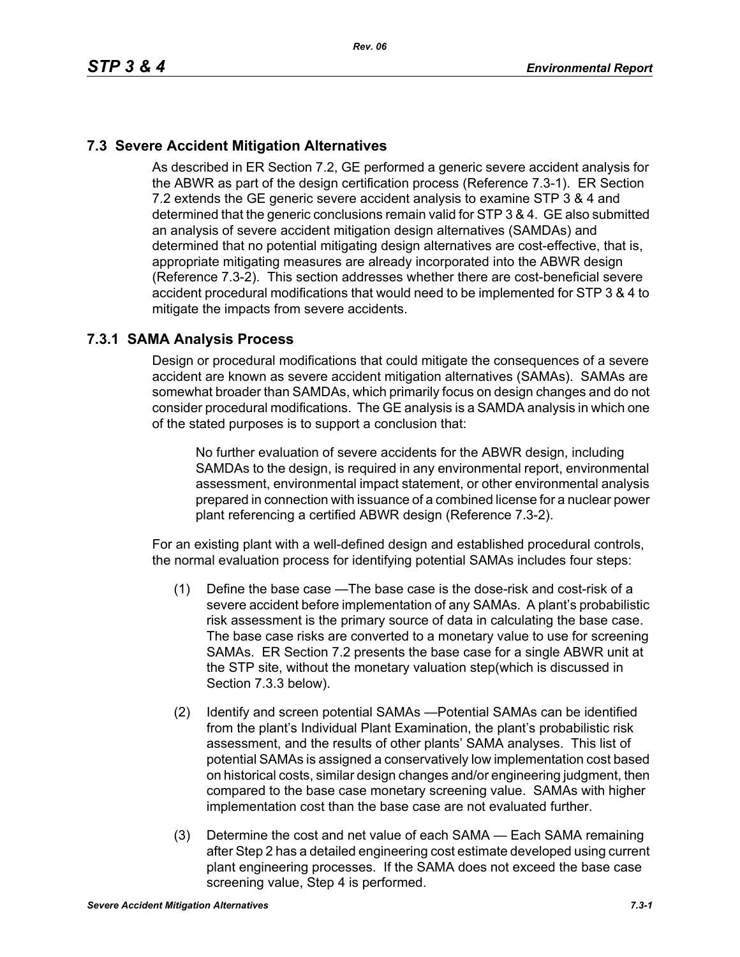# **7.3 Severe Accident Mitigation Alternatives**

As described in ER Section 7.2, GE performed a generic severe accident analysis for the ABWR as part of the design certification process (Reference 7.3-1). ER Section 7.2 extends the GE generic severe accident analysis to examine STP 3 & 4 and determined that the generic conclusions remain valid for STP 3 & 4. GE also submitted an analysis of severe accident mitigation design alternatives (SAMDAs) and determined that no potential mitigating design alternatives are cost-effective, that is, appropriate mitigating measures are already incorporated into the ABWR design (Reference 7.3-2). This section addresses whether there are cost-beneficial severe accident procedural modifications that would need to be implemented for STP 3 & 4 to mitigate the impacts from severe accidents.

#### **7.3.1 SAMA Analysis Process**

Design or procedural modifications that could mitigate the consequences of a severe accident are known as severe accident mitigation alternatives (SAMAs). SAMAs are somewhat broader than SAMDAs, which primarily focus on design changes and do not consider procedural modifications. The GE analysis is a SAMDA analysis in which one of the stated purposes is to support a conclusion that:

No further evaluation of severe accidents for the ABWR design, including SAMDAs to the design, is required in any environmental report, environmental assessment, environmental impact statement, or other environmental analysis prepared in connection with issuance of a combined license for a nuclear power plant referencing a certified ABWR design (Reference 7.3-2).

For an existing plant with a well-defined design and established procedural controls, the normal evaluation process for identifying potential SAMAs includes four steps:

- (1) Define the base case —The base case is the dose-risk and cost-risk of a severe accident before implementation of any SAMAs. A plant's probabilistic risk assessment is the primary source of data in calculating the base case. The base case risks are converted to a monetary value to use for screening SAMAs. ER Section 7.2 presents the base case for a single ABWR unit at the STP site, without the monetary valuation step(which is discussed in Section 7.3.3 below).
- (2) Identify and screen potential SAMAs —Potential SAMAs can be identified from the plant's Individual Plant Examination, the plant's probabilistic risk assessment, and the results of other plants' SAMA analyses. This list of potential SAMAs is assigned a conservatively low implementation cost based on historical costs, similar design changes and/or engineering judgment, then compared to the base case monetary screening value. SAMAs with higher implementation cost than the base case are not evaluated further.
- (3) Determine the cost and net value of each SAMA Each SAMA remaining after Step 2 has a detailed engineering cost estimate developed using current plant engineering processes. If the SAMA does not exceed the base case screening value, Step 4 is performed.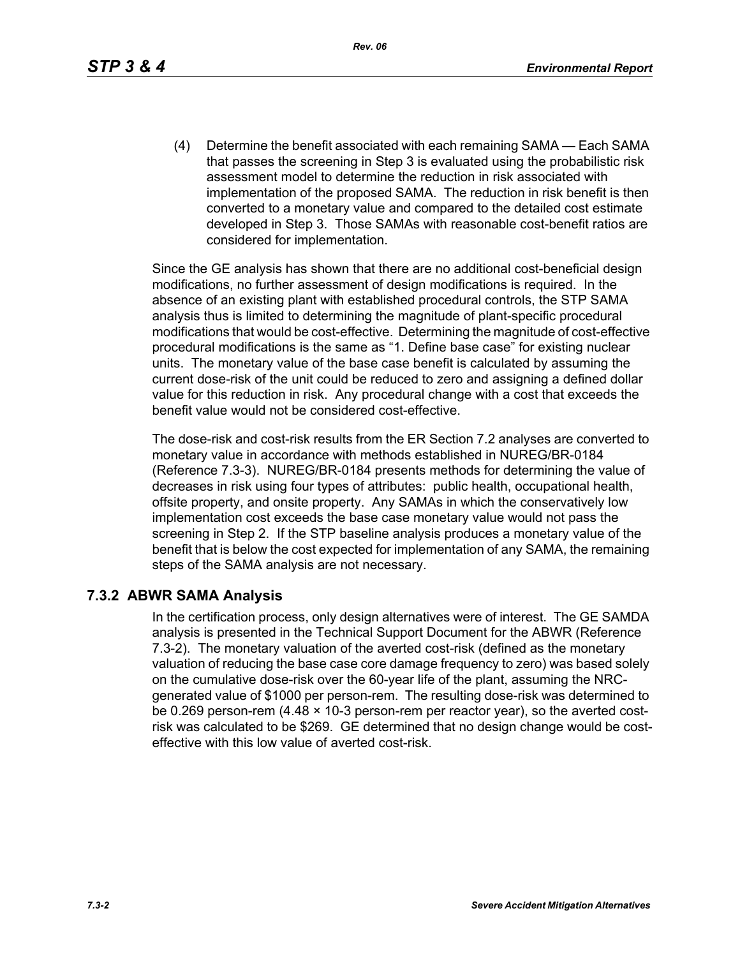*Rev. 06*

(4) Determine the benefit associated with each remaining SAMA — Each SAMA that passes the screening in Step 3 is evaluated using the probabilistic risk assessment model to determine the reduction in risk associated with implementation of the proposed SAMA. The reduction in risk benefit is then converted to a monetary value and compared to the detailed cost estimate developed in Step 3. Those SAMAs with reasonable cost-benefit ratios are considered for implementation.

Since the GE analysis has shown that there are no additional cost-beneficial design modifications, no further assessment of design modifications is required. In the absence of an existing plant with established procedural controls, the STP SAMA analysis thus is limited to determining the magnitude of plant-specific procedural modifications that would be cost-effective. Determining the magnitude of cost-effective procedural modifications is the same as "1. Define base case" for existing nuclear units. The monetary value of the base case benefit is calculated by assuming the current dose-risk of the unit could be reduced to zero and assigning a defined dollar value for this reduction in risk. Any procedural change with a cost that exceeds the benefit value would not be considered cost-effective.

The dose-risk and cost-risk results from the ER Section 7.2 analyses are converted to monetary value in accordance with methods established in NUREG/BR-0184 (Reference 7.3-3). NUREG/BR-0184 presents methods for determining the value of decreases in risk using four types of attributes: public health, occupational health, offsite property, and onsite property. Any SAMAs in which the conservatively low implementation cost exceeds the base case monetary value would not pass the screening in Step 2. If the STP baseline analysis produces a monetary value of the benefit that is below the cost expected for implementation of any SAMA, the remaining steps of the SAMA analysis are not necessary.

### **7.3.2 ABWR SAMA Analysis**

In the certification process, only design alternatives were of interest. The GE SAMDA analysis is presented in the Technical Support Document for the ABWR (Reference 7.3-2). The monetary valuation of the averted cost-risk (defined as the monetary valuation of reducing the base case core damage frequency to zero) was based solely on the cumulative dose-risk over the 60-year life of the plant, assuming the NRCgenerated value of \$1000 per person-rem. The resulting dose-risk was determined to be 0.269 person-rem (4.48 × 10-3 person-rem per reactor year), so the averted costrisk was calculated to be \$269. GE determined that no design change would be costeffective with this low value of averted cost-risk.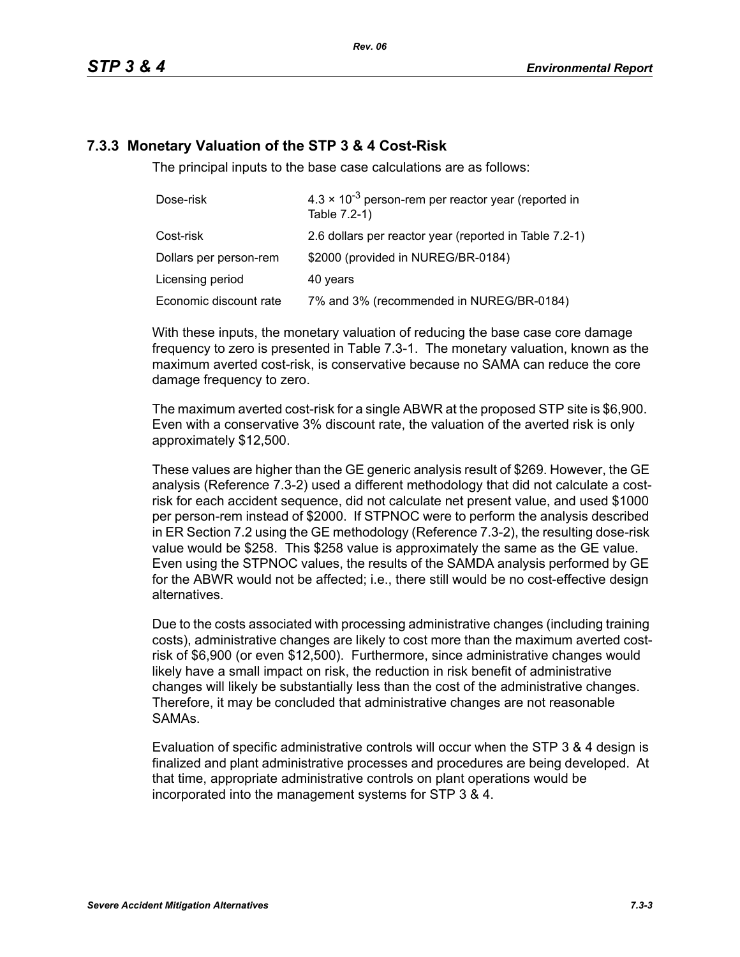## **7.3.3 Monetary Valuation of the STP 3 & 4 Cost-Risk**

The principal inputs to the base case calculations are as follows:

| Dose-risk              | $4.3 \times 10^{-3}$ person-rem per reactor year (reported in<br>Table 7.2-1) |
|------------------------|-------------------------------------------------------------------------------|
| Cost-risk              | 2.6 dollars per reactor year (reported in Table 7.2-1)                        |
| Dollars per person-rem | \$2000 (provided in NUREG/BR-0184)                                            |
| Licensing period       | 40 years                                                                      |
| Economic discount rate | 7% and 3% (recommended in NUREG/BR-0184)                                      |

With these inputs, the monetary valuation of reducing the base case core damage frequency to zero is presented in Table 7.3-1. The monetary valuation, known as the maximum averted cost-risk, is conservative because no SAMA can reduce the core damage frequency to zero.

The maximum averted cost-risk for a single ABWR at the proposed STP site is \$6,900. Even with a conservative 3% discount rate, the valuation of the averted risk is only approximately \$12,500.

These values are higher than the GE generic analysis result of \$269. However, the GE analysis (Reference 7.3-2) used a different methodology that did not calculate a costrisk for each accident sequence, did not calculate net present value, and used \$1000 per person-rem instead of \$2000. If STPNOC were to perform the analysis described in ER Section 7.2 using the GE methodology (Reference 7.3-2), the resulting dose-risk value would be \$258. This \$258 value is approximately the same as the GE value. Even using the STPNOC values, the results of the SAMDA analysis performed by GE for the ABWR would not be affected; i.e., there still would be no cost-effective design alternatives.

Due to the costs associated with processing administrative changes (including training costs), administrative changes are likely to cost more than the maximum averted costrisk of \$6,900 (or even \$12,500). Furthermore, since administrative changes would likely have a small impact on risk, the reduction in risk benefit of administrative changes will likely be substantially less than the cost of the administrative changes. Therefore, it may be concluded that administrative changes are not reasonable SAMAs.

Evaluation of specific administrative controls will occur when the STP 3 & 4 design is finalized and plant administrative processes and procedures are being developed. At that time, appropriate administrative controls on plant operations would be incorporated into the management systems for STP 3 & 4.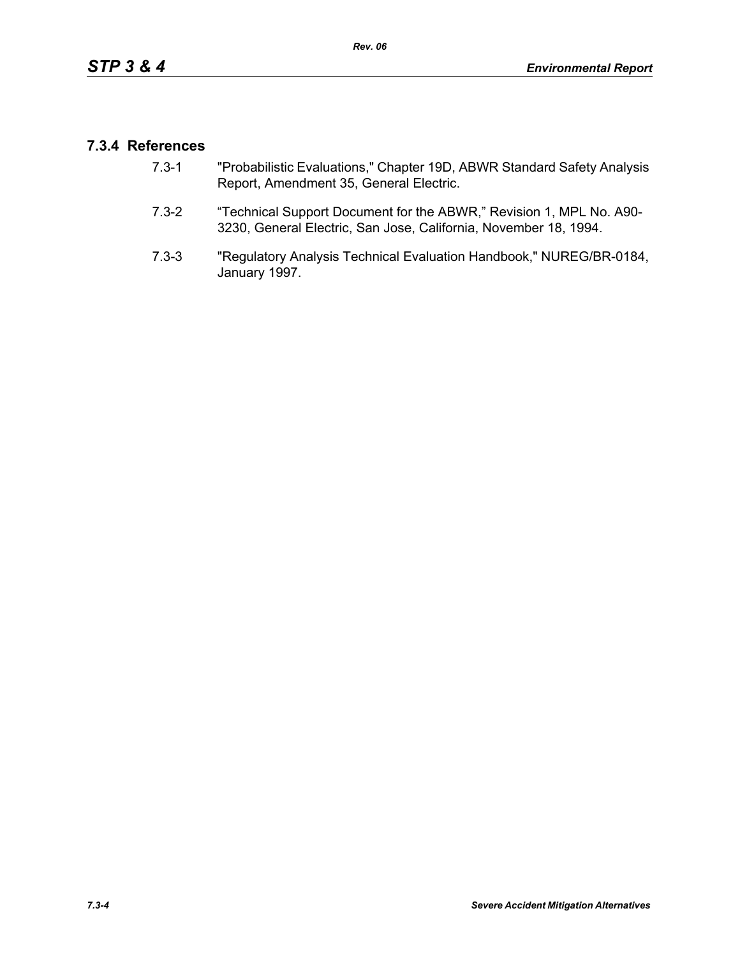### **7.3.4 References**

- 7.3-1 "Probabilistic Evaluations," Chapter 19D, ABWR Standard Safety Analysis Report, Amendment 35, General Electric.
- 7.3-2 "Technical Support Document for the ABWR," Revision 1, MPL No. A90- 3230, General Electric, San Jose, California, November 18, 1994.
- 7.3-3 "Regulatory Analysis Technical Evaluation Handbook," NUREG/BR-0184, January 1997.